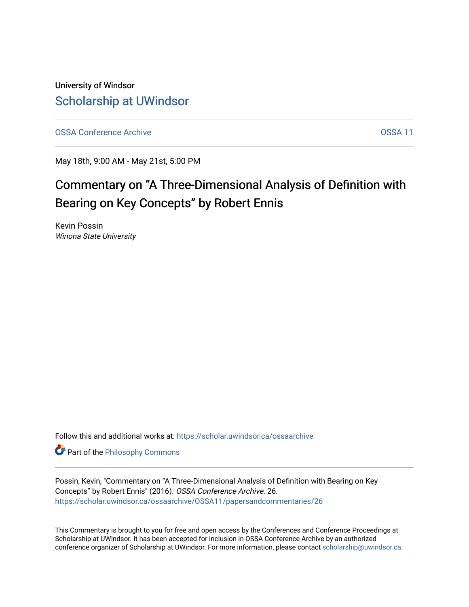University of Windsor [Scholarship at UWindsor](https://scholar.uwindsor.ca/) 

[OSSA Conference Archive](https://scholar.uwindsor.ca/ossaarchive) **OSSA 11** 

May 18th, 9:00 AM - May 21st, 5:00 PM

# Commentary on "A Three-Dimensional Analysis of Definition with Bearing on Key Concepts" by Robert Ennis

Kevin Possin Winona State University

Follow this and additional works at: [https://scholar.uwindsor.ca/ossaarchive](https://scholar.uwindsor.ca/ossaarchive?utm_source=scholar.uwindsor.ca%2Fossaarchive%2FOSSA11%2Fpapersandcommentaries%2F26&utm_medium=PDF&utm_campaign=PDFCoverPages)

**Part of the Philosophy Commons** 

Possin, Kevin, "Commentary on "A Three-Dimensional Analysis of Definition with Bearing on Key Concepts" by Robert Ennis" (2016). OSSA Conference Archive. 26. [https://scholar.uwindsor.ca/ossaarchive/OSSA11/papersandcommentaries/26](https://scholar.uwindsor.ca/ossaarchive/OSSA11/papersandcommentaries/26?utm_source=scholar.uwindsor.ca%2Fossaarchive%2FOSSA11%2Fpapersandcommentaries%2F26&utm_medium=PDF&utm_campaign=PDFCoverPages) 

This Commentary is brought to you for free and open access by the Conferences and Conference Proceedings at Scholarship at UWindsor. It has been accepted for inclusion in OSSA Conference Archive by an authorized conference organizer of Scholarship at UWindsor. For more information, please contact [scholarship@uwindsor.ca.](mailto:scholarship@uwindsor.ca)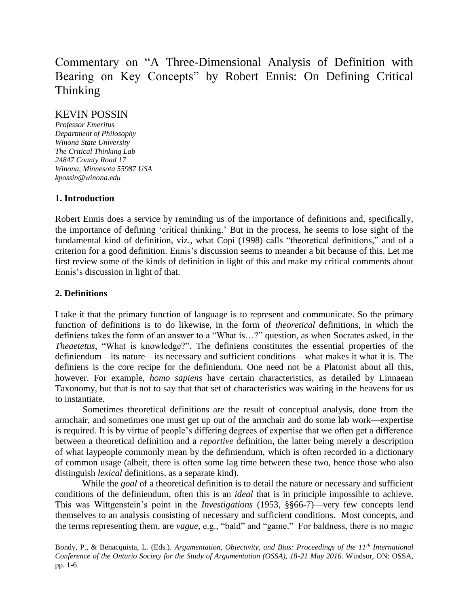# Commentary on "A Three-Dimensional Analysis of Definition with Bearing on Key Concepts" by Robert Ennis: On Defining Critical Thinking

# KEVIN POSSIN

*Professor Emeritus Department of Philosophy Winona State University The Critical Thinking Lab 24847 County Road 17 Winona, Minnesota 55987 USA kpossin@winona.edu*

## **1. Introduction**

Robert Ennis does a service by reminding us of the importance of definitions and, specifically, the importance of defining 'critical thinking.' But in the process, he seems to lose sight of the fundamental kind of definition, viz., what Copi (1998) calls "theoretical definitions," and of a criterion for a good definition. Ennis's discussion seems to meander a bit because of this. Let me first review some of the kinds of definition in light of this and make my critical comments about Ennis's discussion in light of that.

## **2. Definitions**

I take it that the primary function of language is to represent and communicate. So the primary function of definitions is to do likewise, in the form of *theoretical* definitions, in which the definiens takes the form of an answer to a "What is…?" question, as when Socrates asked, in the *Theaetetus*, "What is knowledge?". The definiens constitutes the essential properties of the definiendum—its nature—its necessary and sufficient conditions—what makes it what it is. The definiens is the core recipe for the definiendum. One need not be a Platonist about all this, however. For example, *homo sapiens* have certain characteristics, as detailed by Linnaean Taxonomy, but that is not to say that that set of characteristics was waiting in the heavens for us to instantiate.

Sometimes theoretical definitions are the result of conceptual analysis, done from the armchair, and sometimes one must get up out of the armchair and do some lab work—expertise is required. It is by virtue of people's differing degrees of expertise that we often get a difference between a theoretical definition and a *reportive* definition, the latter being merely a description of what laypeople commonly mean by the definiendum, which is often recorded in a dictionary of common usage (albeit, there is often some lag time between these two, hence those who also distinguish *lexical* definitions, as a separate kind).

While the *goal* of a theoretical definition is to detail the nature or necessary and sufficient conditions of the definiendum, often this is an *ideal* that is in principle impossible to achieve. This was Wittgenstein's point in the *Investigations* (1953, §§66-7)—very few concepts lend themselves to an analysis consisting of necessary and sufficient conditions. Most concepts, and the terms representing them, are *vague*, e.g., "bald" and "game." For baldness, there is no magic

Bondy, P., & Benacquista, L. (Eds.). *Argumentation, Objectivity, and Bias: Proceedings of the 11th International Conference of the Ontario Society for the Study of Argumentation (OSSA), 18-21 May 2016*. Windsor, ON: OSSA, pp. 1-6.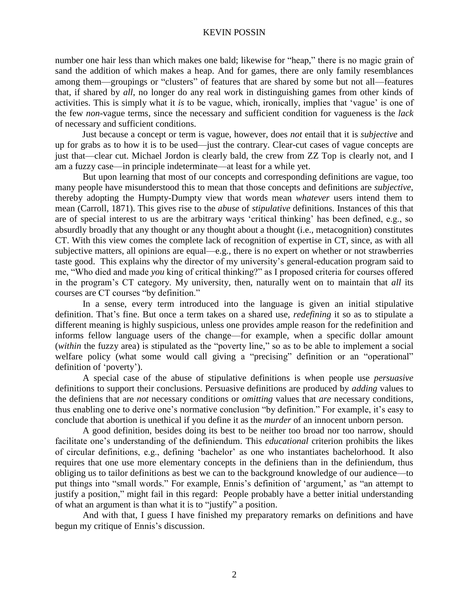#### KEVIN POSSIN

number one hair less than which makes one bald; likewise for "heap," there is no magic grain of sand the addition of which makes a heap. And for games, there are only family resemblances among them—groupings or "clusters" of features that are shared by some but not all—features that, if shared by *all*, no longer do any real work in distinguishing games from other kinds of activities. This is simply what it *is* to be vague, which, ironically, implies that 'vague' is one of the few *non*-vague terms, since the necessary and sufficient condition for vagueness is the *lack* of necessary and sufficient conditions.

Just because a concept or term is vague, however, does *not* entail that it is *subjective* and up for grabs as to how it is to be used—just the contrary. Clear-cut cases of vague concepts are just that—clear cut. Michael Jordon is clearly bald, the crew from ZZ Top is clearly not, and I am a fuzzy case—in principle indeterminate—at least for a while yet.

But upon learning that most of our concepts and corresponding definitions are vague, too many people have misunderstood this to mean that those concepts and definitions are *subjective*, thereby adopting the Humpty-Dumpty view that words mean *whatever* users intend them to mean (Carroll, 1871). This gives rise to the *abuse* of *stipulative* definitions. Instances of this that are of special interest to us are the arbitrary ways 'critical thinking' has been defined, e.g., so absurdly broadly that any thought or any thought about a thought (i.e., metacognition) constitutes CT. With this view comes the complete lack of recognition of expertise in CT, since, as with all subjective matters, all opinions are equal—e.g., there is no expert on whether or not strawberries taste good. This explains why the director of my university's general-education program said to me, "Who died and made *you* king of critical thinking?" as I proposed criteria for courses offered in the program's CT category. My university, then, naturally went on to maintain that *all* its courses are CT courses "by definition."

In a sense, every term introduced into the language is given an initial stipulative definition. That's fine. But once a term takes on a shared use, *redefining* it so as to stipulate a different meaning is highly suspicious, unless one provides ample reason for the redefinition and informs fellow language users of the change—for example, when a specific dollar amount (*within* the fuzzy area) is stipulated as the "poverty line," so as to be able to implement a social welfare policy (what some would call giving a "precising" definition or an "operational" definition of 'poverty').

A special case of the abuse of stipulative definitions is when people use *persuasive* definitions to support their conclusions. Persuasive definitions are produced by *adding* values to the definiens that are *not* necessary conditions or *omitting* values that *are* necessary conditions, thus enabling one to derive one's normative conclusion "by definition." For example, it's easy to conclude that abortion is unethical if you define it as the *murder* of an innocent unborn person.

A good definition, besides doing its best to be neither too broad nor too narrow, should facilitate one's understanding of the definiendum. This *educational* criterion prohibits the likes of circular definitions, e.g., defining 'bachelor' as one who instantiates bachelorhood. It also requires that one use more elementary concepts in the definiens than in the definiendum, thus obliging us to tailor definitions as best we can to the background knowledge of our audience—to put things into "small words." For example, Ennis's definition of 'argument,' as "an attempt to justify a position," might fail in this regard: People probably have a better initial understanding of what an argument is than what it is to "justify" a position.

And with that, I guess I have finished my preparatory remarks on definitions and have begun my critique of Ennis's discussion.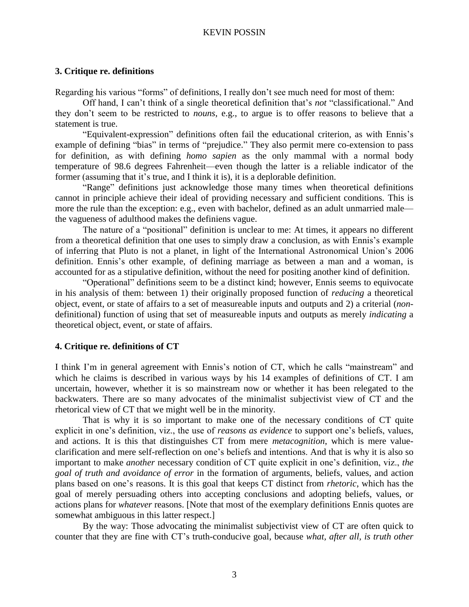#### **3. Critique re. definitions**

Regarding his various "forms" of definitions, I really don't see much need for most of them:

Off hand, I can't think of a single theoretical definition that's *not* "classificational." And they don't seem to be restricted to *nouns*, e.g., to argue is to offer reasons to believe that a statement is true.

"Equivalent-expression" definitions often fail the educational criterion, as with Ennis's example of defining "bias" in terms of "prejudice." They also permit mere co-extension to pass for definition, as with defining *homo sapien* as the only mammal with a normal body temperature of 98.6 degrees Fahrenheit—even though the latter is a reliable indicator of the former (assuming that it's true, and I think it is), it is a deplorable definition.

"Range" definitions just acknowledge those many times when theoretical definitions cannot in principle achieve their ideal of providing necessary and sufficient conditions. This is more the rule than the exception: e.g., even with bachelor, defined as an adult unmarried male the vagueness of adulthood makes the definiens vague.

The nature of a "positional" definition is unclear to me: At times, it appears no different from a theoretical definition that one uses to simply draw a conclusion, as with Ennis's example of inferring that Pluto is not a planet, in light of the International Astronomical Union's 2006 definition. Ennis's other example, of defining marriage as between a man and a woman, is accounted for as a stipulative definition, without the need for positing another kind of definition.

"Operational" definitions seem to be a distinct kind; however, Ennis seems to equivocate in his analysis of them: between 1) their originally proposed function of *reducing* a theoretical object, event, or state of affairs to a set of measureable inputs and outputs and 2) a criterial (*non*definitional) function of using that set of measureable inputs and outputs as merely *indicating* a theoretical object, event, or state of affairs.

#### **4. Critique re. definitions of CT**

I think I'm in general agreement with Ennis's notion of CT, which he calls "mainstream" and which he claims is described in various ways by his 14 examples of definitions of CT. I am uncertain, however, whether it is so mainstream now or whether it has been relegated to the backwaters. There are so many advocates of the minimalist subjectivist view of CT and the rhetorical view of CT that we might well be in the minority.

That is why it is so important to make one of the necessary conditions of CT quite explicit in one's definition, viz., the use of *reasons as evidence* to support one's beliefs, values, and actions. It is this that distinguishes CT from mere *metacognition*, which is mere valueclarification and mere self-reflection on one's beliefs and intentions. And that is why it is also so important to make *another* necessary condition of CT quite explicit in one's definition, viz., *the goal of truth and avoidance of error* in the formation of arguments, beliefs, values, and action plans based on one's reasons. It is this goal that keeps CT distinct from *rhetoric*, which has the goal of merely persuading others into accepting conclusions and adopting beliefs, values, or actions plans for *whatever* reasons. [Note that most of the exemplary definitions Ennis quotes are somewhat ambiguous in this latter respect.]

By the way: Those advocating the minimalist subjectivist view of CT are often quick to counter that they are fine with CT's truth-conducive goal, because *what, after all, is truth other*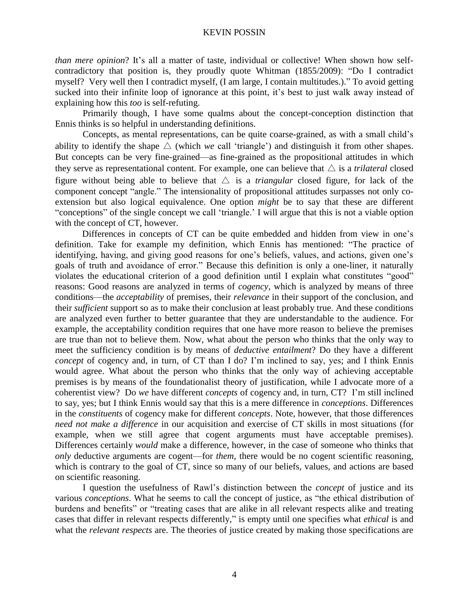#### KEVIN POSSIN

*than mere opinion*? It's all a matter of taste, individual or collective! When shown how selfcontradictory that position is, they proudly quote Whitman (1855/2009): "Do I contradict myself? Very well then I contradict myself, (I am large, I contain multitudes.)." To avoid getting sucked into their infinite loop of ignorance at this point, it's best to just walk away instead of explaining how this *too* is self-refuting.

Primarily though, I have some qualms about the concept-conception distinction that Ennis thinks is so helpful in understanding definitions.

Concepts, as mental representations, can be quite coarse-grained, as with a small child's ability to identify the shape  $\triangle$  (which *we* call 'triangle') and distinguish it from other shapes. But concepts can be very fine-grained—as fine-grained as the propositional attitudes in which they serve as representational content. For example, one can believe that  $\triangle$  is a *trilateral* closed figure without being able to believe that  $\triangle$  is a *triangular* closed figure, for lack of the component concept "angle." The intensionality of propositional attitudes surpasses not only coextension but also logical equivalence. One option *might* be to say that these are different "conceptions" of the single concept we call 'triangle.' I will argue that this is not a viable option with the concept of CT, however.

Differences in concepts of CT can be quite embedded and hidden from view in one's definition. Take for example my definition, which Ennis has mentioned: "The practice of identifying, having, and giving good reasons for one's beliefs, values, and actions, given one's goals of truth and avoidance of error." Because this definition is only a one-liner, it naturally violates the educational criterion of a good definition until I explain what constitutes "good" reasons: Good reasons are analyzed in terms of *cogency*, which is analyzed by means of three conditions—the *acceptability* of premises, their *relevance* in their support of the conclusion, and their *sufficient* support so as to make their conclusion at least probably true. And these conditions are analyzed even further to better guarantee that they are understandable to the audience. For example, the acceptability condition requires that one have more reason to believe the premises are true than not to believe them. Now, what about the person who thinks that the only way to meet the sufficiency condition is by means of *deductive entailment*? Do they have a different *concept* of cogency and, in turn, of CT than I do? I'm inclined to say, yes; and I think Ennis would agree. What about the person who thinks that the only way of achieving acceptable premises is by means of the foundationalist theory of justification, while I advocate more of a coherentist view? Do *we* have different *concepts* of cogency and, in turn, CT? I'm still inclined to say, yes; but I think Ennis would say that this is a mere difference in *conceptions*. Differences in the *constituents* of cogency make for different *concepts*. Note, however, that those differences *need not make a difference* in our acquisition and exercise of CT skills in most situations (for example, when we still agree that cogent arguments must have acceptable premises). Differences certainly *would* make a difference, however, in the case of someone who thinks that *only* deductive arguments are cogent—for *them*, there would be no cogent scientific reasoning, which is contrary to the goal of CT, since so many of our beliefs, values, and actions are based on scientific reasoning.

I question the usefulness of Rawl's distinction between the *concept* of justice and its various *conceptions*. What he seems to call the concept of justice, as "the ethical distribution of burdens and benefits" or "treating cases that are alike in all relevant respects alike and treating cases that differ in relevant respects differently," is empty until one specifies what *ethical* is and what the *relevant respects* are. The theories of justice created by making those specifications are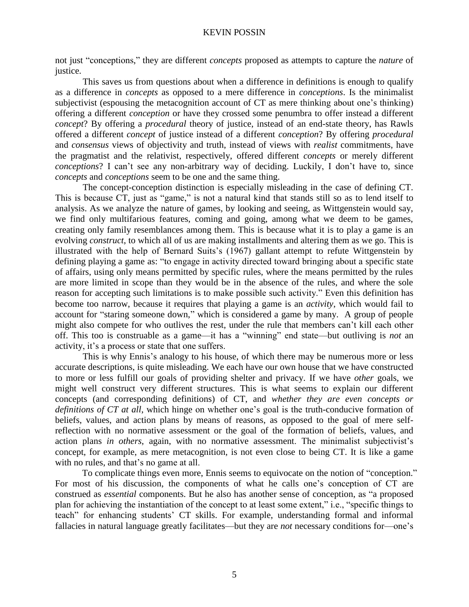not just "conceptions," they are different *concepts* proposed as attempts to capture the *nature* of justice.

This saves us from questions about when a difference in definitions is enough to qualify as a difference in *concepts* as opposed to a mere difference in *conceptions*. Is the minimalist subjectivist (espousing the metacognition account of CT as mere thinking about one's thinking) offering a different *conception* or have they crossed some penumbra to offer instead a different *concept*? By offering a *procedural* theory of justice, instead of an end-state theory, has Rawls offered a different *concept* of justice instead of a different *conception*? By offering *procedural* and *consensus* views of objectivity and truth, instead of views with *realist* commitments, have the pragmatist and the relativist, respectively, offered different *concepts* or merely different *conceptions*? I can't see any non-arbitrary way of deciding. Luckily, I don't have to, since *concepts* and *conceptions* seem to be one and the same thing.

The concept-conception distinction is especially misleading in the case of defining CT. This is because CT, just as "game," is not a natural kind that stands still so as to lend itself to analysis. As we analyze the nature of games, by looking and seeing, as Wittgenstein would say, we find only multifarious features, coming and going, among what we deem to be games, creating only family resemblances among them. This is because what it is to play a game is an evolving *construct*, to which all of us are making installments and altering them as we go. This is illustrated with the help of Bernard Suits's (1967) gallant attempt to refute Wittgenstein by defining playing a game as: "to engage in activity directed toward bringing about a specific state of affairs, using only means permitted by specific rules, where the means permitted by the rules are more limited in scope than they would be in the absence of the rules, and where the sole reason for accepting such limitations is to make possible such activity." Even this definition has become too narrow, because it requires that playing a game is an *activity*, which would fail to account for "staring someone down," which is considered a game by many. A group of people might also compete for who outlives the rest, under the rule that members can't kill each other off. This too is construable as a game—it has a "winning" end state—but outliving is *not* an activity, it's a process or state that one suffers.

This is why Ennis's analogy to his house, of which there may be numerous more or less accurate descriptions, is quite misleading. We each have our own house that we have constructed to more or less fulfill our goals of providing shelter and privacy. If we have *other* goals, we might well construct very different structures. This is what seems to explain our different concepts (and corresponding definitions) of CT, and *whether they are even concepts or definitions of CT at all*, which hinge on whether one's goal is the truth-conducive formation of beliefs, values, and action plans by means of reasons, as opposed to the goal of mere selfreflection with no normative assessment or the goal of the formation of beliefs, values, and action plans *in others*, again, with no normative assessment. The minimalist subjectivist's concept, for example, as mere metacognition, is not even close to being CT. It is like a game with no rules, and that's no game at all.

To complicate things even more, Ennis seems to equivocate on the notion of "conception." For most of his discussion, the components of what he calls one's conception of CT are construed as *essential* components. But he also has another sense of conception, as "a proposed plan for achieving the instantiation of the concept to at least some extent," i.e., "specific things to teach" for enhancing students' CT skills. For example, understanding formal and informal fallacies in natural language greatly facilitates—but they are *not* necessary conditions for—one's